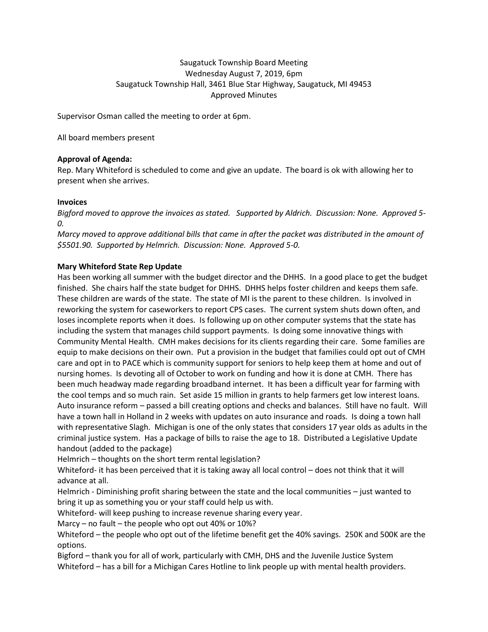# Saugatuck Township Board Meeting Wednesday August 7, 2019, 6pm Saugatuck Township Hall, 3461 Blue Star Highway, Saugatuck, MI 49453 Approved Minutes

Supervisor Osman called the meeting to order at 6pm.

All board members present

## **Approval of Agenda:**

Rep. Mary Whiteford is scheduled to come and give an update. The board is ok with allowing her to present when she arrives.

### **Invoices**

*Bigford moved to approve the invoices as stated. Supported by Aldrich. Discussion: None. Approved 5- 0.* 

*Marcy moved to approve additional bills that came in after the packet was distributed in the amount of \$5501.90. Supported by Helmrich. Discussion: None. Approved 5-0.*

## **Mary Whiteford State Rep Update**

Has been working all summer with the budget director and the DHHS. In a good place to get the budget finished. She chairs half the state budget for DHHS. DHHS helps foster children and keeps them safe. These children are wards of the state. The state of MI is the parent to these children. Is involved in reworking the system for caseworkers to report CPS cases. The current system shuts down often, and loses incomplete reports when it does. Is following up on other computer systems that the state has including the system that manages child support payments. Is doing some innovative things with Community Mental Health. CMH makes decisions for its clients regarding their care. Some families are equip to make decisions on their own. Put a provision in the budget that families could opt out of CMH care and opt in to PACE which is community support for seniors to help keep them at home and out of nursing homes. Is devoting all of October to work on funding and how it is done at CMH. There has been much headway made regarding broadband internet. It has been a difficult year for farming with the cool temps and so much rain. Set aside 15 million in grants to help farmers get low interest loans. Auto insurance reform – passed a bill creating options and checks and balances. Still have no fault. Will have a town hall in Holland in 2 weeks with updates on auto insurance and roads. Is doing a town hall with representative Slagh. Michigan is one of the only states that considers 17 year olds as adults in the criminal justice system. Has a package of bills to raise the age to 18. Distributed a Legislative Update handout (added to the package)

Helmrich – thoughts on the short term rental legislation?

Whiteford- it has been perceived that it is taking away all local control - does not think that it will advance at all.

Helmrich - Diminishing profit sharing between the state and the local communities – just wanted to bring it up as something you or your staff could help us with.

Whiteford- will keep pushing to increase revenue sharing every year.

Marcy – no fault – the people who opt out 40% or 10%?

Whiteford – the people who opt out of the lifetime benefit get the 40% savings. 250K and 500K are the options.

Bigford – thank you for all of work, particularly with CMH, DHS and the Juvenile Justice System Whiteford – has a bill for a Michigan Cares Hotline to link people up with mental health providers.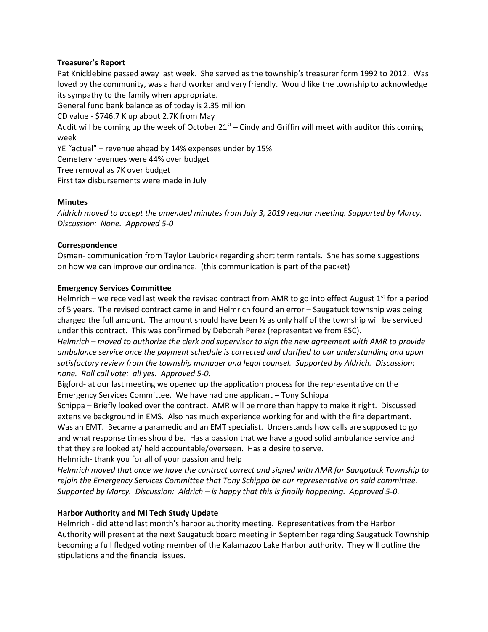## **Treasurer's Report**

Pat Knicklebine passed away last week. She served as the township's treasurer form 1992 to 2012. Was loved by the community, was a hard worker and very friendly. Would like the township to acknowledge its sympathy to the family when appropriate.

General fund bank balance as of today is 2.35 million

CD value - \$746.7 K up about 2.7K from May

Audit will be coming up the week of October  $21^{st}$  – Cindy and Griffin will meet with auditor this coming week

YE "actual" – revenue ahead by 14% expenses under by 15%

Cemetery revenues were 44% over budget

Tree removal as 7K over budget

First tax disbursements were made in July

### **Minutes**

*Aldrich moved to accept the amended minutes from July 3, 2019 regular meeting. Supported by Marcy. Discussion: None. Approved 5-0*

### **Correspondence**

Osman- communication from Taylor Laubrick regarding short term rentals. She has some suggestions on how we can improve our ordinance. (this communication is part of the packet)

### **Emergency Services Committee**

Helmrich – we received last week the revised contract from AMR to go into effect August  $1<sup>st</sup>$  for a period of 5 years. The revised contract came in and Helmrich found an error – Saugatuck township was being charged the full amount. The amount should have been ½ as only half of the township will be serviced under this contract. This was confirmed by Deborah Perez (representative from ESC).

*Helmrich – moved to authorize the clerk and supervisor to sign the new agreement with AMR to provide ambulance service once the payment schedule is corrected and clarified to our understanding and upon satisfactory review from the township manager and legal counsel. Supported by Aldrich. Discussion: none. Roll call vote: all yes. Approved 5-0.*

Bigford- at our last meeting we opened up the application process for the representative on the Emergency Services Committee. We have had one applicant – Tony Schippa

Schippa – Briefly looked over the contract. AMR will be more than happy to make it right. Discussed extensive background in EMS. Also has much experience working for and with the fire department. Was an EMT. Became a paramedic and an EMT specialist. Understands how calls are supposed to go and what response times should be. Has a passion that we have a good solid ambulance service and that they are looked at/ held accountable/overseen. Has a desire to serve.

Helmrich- thank you for all of your passion and help

*Helmrich moved that once we have the contract correct and signed with AMR for Saugatuck Township to rejoin the Emergency Services Committee that Tony Schippa be our representative on said committee. Supported by Marcy. Discussion: Aldrich – is happy that this is finally happening. Approved 5-0.*

## **Harbor Authority and MI Tech Study Update**

Helmrich - did attend last month's harbor authority meeting. Representatives from the Harbor Authority will present at the next Saugatuck board meeting in September regarding Saugatuck Township becoming a full fledged voting member of the Kalamazoo Lake Harbor authority. They will outline the stipulations and the financial issues.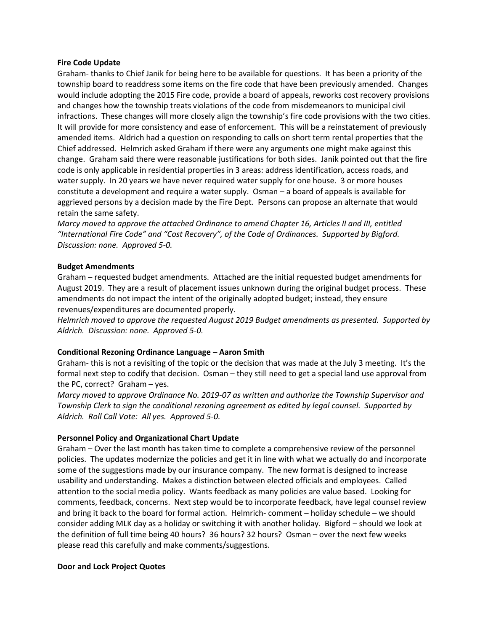### **Fire Code Update**

Graham- thanks to Chief Janik for being here to be available for questions. It has been a priority of the township board to readdress some items on the fire code that have been previously amended. Changes would include adopting the 2015 Fire code, provide a board of appeals, reworks cost recovery provisions and changes how the township treats violations of the code from misdemeanors to municipal civil infractions. These changes will more closely align the township's fire code provisions with the two cities. It will provide for more consistency and ease of enforcement. This will be a reinstatement of previously amended items. Aldrich had a question on responding to calls on short term rental properties that the Chief addressed. Helmrich asked Graham if there were any arguments one might make against this change. Graham said there were reasonable justifications for both sides. Janik pointed out that the fire code is only applicable in residential properties in 3 areas: address identification, access roads, and water supply. In 20 years we have never required water supply for one house. 3 or more houses constitute a development and require a water supply. Osman – a board of appeals is available for aggrieved persons by a decision made by the Fire Dept. Persons can propose an alternate that would retain the same safety.

*Marcy moved to approve the attached Ordinance to amend Chapter 16, Articles II and III, entitled "International Fire Code" and "Cost Recovery", of the Code of Ordinances. Supported by Bigford. Discussion: none. Approved 5-0.*

### **Budget Amendments**

Graham – requested budget amendments. Attached are the initial requested budget amendments for August 2019. They are a result of placement issues unknown during the original budget process. These amendments do not impact the intent of the originally adopted budget; instead, they ensure revenues/expenditures are documented properly.

*Helmrich moved to approve the requested August 2019 Budget amendments as presented. Supported by Aldrich. Discussion: none. Approved 5-0.*

### **Conditional Rezoning Ordinance Language – Aaron Smith**

Graham- this is not a revisiting of the topic or the decision that was made at the July 3 meeting. It's the formal next step to codify that decision. Osman – they still need to get a special land use approval from the PC, correct? Graham – yes.

*Marcy moved to approve Ordinance No. 2019-07 as written and authorize the Township Supervisor and Township Clerk to sign the conditional rezoning agreement as edited by legal counsel. Supported by Aldrich. Roll Call Vote: All yes. Approved 5-0.*

### **Personnel Policy and Organizational Chart Update**

Graham – Over the last month has taken time to complete a comprehensive review of the personnel policies. The updates modernize the policies and get it in line with what we actually do and incorporate some of the suggestions made by our insurance company. The new format is designed to increase usability and understanding. Makes a distinction between elected officials and employees. Called attention to the social media policy. Wants feedback as many policies are value based. Looking for comments, feedback, concerns. Next step would be to incorporate feedback, have legal counsel review and bring it back to the board for formal action. Helmrich- comment – holiday schedule – we should consider adding MLK day as a holiday or switching it with another holiday. Bigford – should we look at the definition of full time being 40 hours? 36 hours? 32 hours? Osman – over the next few weeks please read this carefully and make comments/suggestions.

#### **Door and Lock Project Quotes**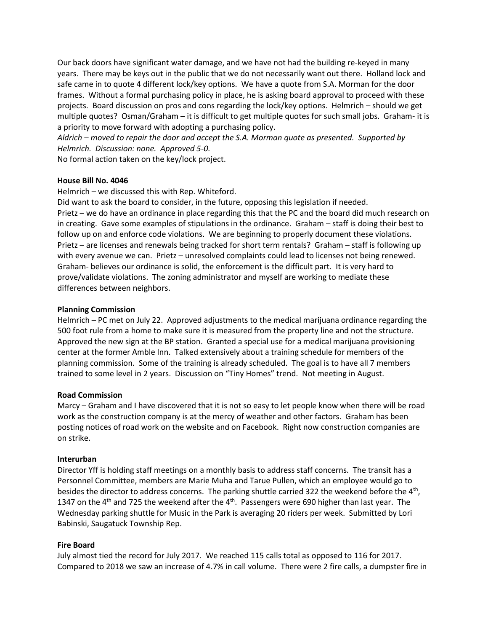Our back doors have significant water damage, and we have not had the building re-keyed in many years. There may be keys out in the public that we do not necessarily want out there. Holland lock and safe came in to quote 4 different lock/key options. We have a quote from S.A. Morman for the door frames. Without a formal purchasing policy in place, he is asking board approval to proceed with these projects. Board discussion on pros and cons regarding the lock/key options. Helmrich – should we get multiple quotes? Osman/Graham – it is difficult to get multiple quotes for such small jobs. Graham- it is a priority to move forward with adopting a purchasing policy.

*Aldrich – moved to repair the door and accept the S.A. Morman quote as presented. Supported by Helmrich. Discussion: none. Approved 5-0.* 

No formal action taken on the key/lock project.

## **House Bill No. 4046**

Helmrich – we discussed this with Rep. Whiteford.

Did want to ask the board to consider, in the future, opposing this legislation if needed. Prietz – we do have an ordinance in place regarding this that the PC and the board did much research on in creating. Gave some examples of stipulations in the ordinance. Graham – staff is doing their best to follow up on and enforce code violations. We are beginning to properly document these violations. Prietz – are licenses and renewals being tracked for short term rentals? Graham – staff is following up with every avenue we can. Prietz – unresolved complaints could lead to licenses not being renewed. Graham- believes our ordinance is solid, the enforcement is the difficult part. It is very hard to prove/validate violations. The zoning administrator and myself are working to mediate these differences between neighbors.

## **Planning Commission**

Helmrich – PC met on July 22. Approved adjustments to the medical marijuana ordinance regarding the 500 foot rule from a home to make sure it is measured from the property line and not the structure. Approved the new sign at the BP station. Granted a special use for a medical marijuana provisioning center at the former Amble Inn. Talked extensively about a training schedule for members of the planning commission. Some of the training is already scheduled. The goal is to have all 7 members trained to some level in 2 years. Discussion on "Tiny Homes" trend. Not meeting in August.

## **Road Commission**

Marcy – Graham and I have discovered that it is not so easy to let people know when there will be road work as the construction company is at the mercy of weather and other factors. Graham has been posting notices of road work on the website and on Facebook. Right now construction companies are on strike.

## **Interurban**

Director Yff is holding staff meetings on a monthly basis to address staff concerns. The transit has a Personnel Committee, members are Marie Muha and Tarue Pullen, which an employee would go to besides the director to address concerns. The parking shuttle carried 322 the weekend before the 4<sup>th</sup>, 1347 on the 4<sup>th</sup> and 725 the weekend after the 4<sup>th</sup>. Passengers were 690 higher than last year. The Wednesday parking shuttle for Music in the Park is averaging 20 riders per week. Submitted by Lori Babinski, Saugatuck Township Rep.

## **Fire Board**

July almost tied the record for July 2017. We reached 115 calls total as opposed to 116 for 2017. Compared to 2018 we saw an increase of 4.7% in call volume. There were 2 fire calls, a dumpster fire in